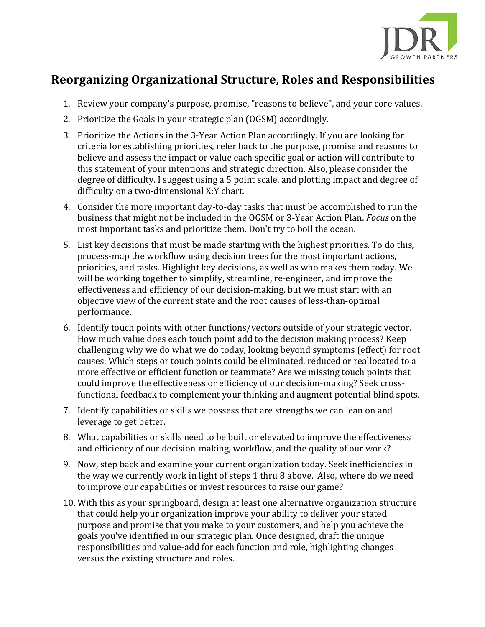

## **Reorganizing Organizational Structure, Roles and Responsibilities**

- 1. Review your company's purpose, promise, "reasons to believe", and your core values.
- 2. Prioritize the Goals in your strategic plan (OGSM) accordingly.
- 3. Prioritize the Actions in the 3-Year Action Plan accordingly. If you are looking for criteria for establishing priorities, refer back to the purpose, promise and reasons to believe and assess the impact or value each specific goal or action will contribute to this statement of your intentions and strategic direction. Also, please consider the degree of difficulty. I suggest using a 5 point scale, and plotting impact and degree of difficulty on a two-dimensional X:Y chart.
- 4. Consider the more important day-to-day tasks that must be accomplished to run the business that might not be included in the OGSM or 3-Year Action Plan. *Focus* on the most important tasks and prioritize them. Don't try to boil the ocean.
- 5. List key decisions that must be made starting with the highest priorities. To do this, process-map the workflow using decision trees for the most important actions, priorities, and tasks. Highlight key decisions, as well as who makes them today. We will be working together to simplify, streamline, re-engineer, and improve the effectiveness and efficiency of our decision-making, but we must start with an objective view of the current state and the root causes of less-than-optimal performance.
- 6. Identify touch points with other functions/vectors outside of your strategic vector. How much value does each touch point add to the decision making process? Keep challenging why we do what we do today, looking beyond symptoms (effect) for root causes. Which steps or touch points could be eliminated, reduced or reallocated to a more effective or efficient function or teammate? Are we missing touch points that could improve the effectiveness or efficiency of our decision-making? Seek crossfunctional feedback to complement your thinking and augment potential blind spots.
- 7. Identify capabilities or skills we possess that are strengths we can lean on and leverage to get better.
- 8. What capabilities or skills need to be built or elevated to improve the effectiveness and efficiency of our decision-making, workflow, and the quality of our work?
- 9. Now, step back and examine your current organization today. Seek inefficiencies in the way we currently work in light of steps 1 thru 8 above. Also, where do we need to improve our capabilities or invest resources to raise our game?
- 10. With this as your springboard, design at least one alternative organization structure that could help your organization improve your ability to deliver your stated purpose and promise that you make to your customers, and help you achieve the goals you've identified in our strategic plan. Once designed, draft the unique responsibilities and value-add for each function and role, highlighting changes versus the existing structure and roles.